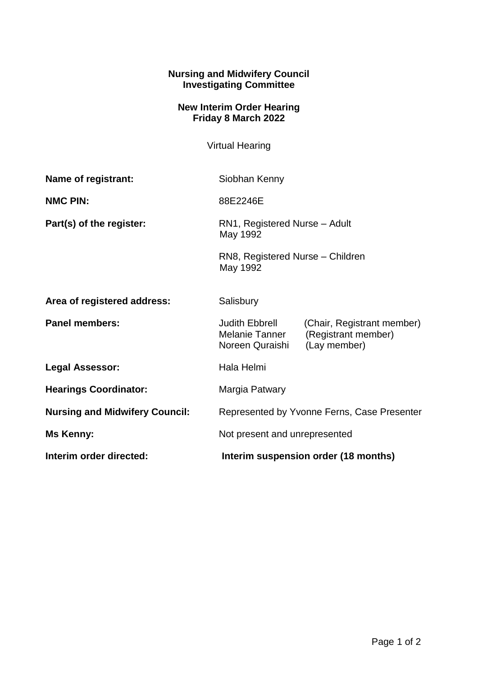## **Nursing and Midwifery Council Investigating Committee**

## **New Interim Order Hearing Friday 8 March 2022**

Virtual Hearing

| Name of registrant:                   | Siobhan Kenny                                                                             |                                                                   |
|---------------------------------------|-------------------------------------------------------------------------------------------|-------------------------------------------------------------------|
| <b>NMC PIN:</b>                       | 88E2246E                                                                                  |                                                                   |
| Part(s) of the register:              | RN1, Registered Nurse - Adult<br>May 1992<br>RN8, Registered Nurse - Children<br>May 1992 |                                                                   |
|                                       |                                                                                           |                                                                   |
| Area of registered address:           | Salisbury                                                                                 |                                                                   |
| <b>Panel members:</b>                 | <b>Judith Ebbrell</b><br>Melanie Tanner<br>Noreen Quraishi                                | (Chair, Registrant member)<br>(Registrant member)<br>(Lay member) |
| <b>Legal Assessor:</b>                | Hala Helmi                                                                                |                                                                   |
| <b>Hearings Coordinator:</b>          | Margia Patwary                                                                            |                                                                   |
| <b>Nursing and Midwifery Council:</b> | Represented by Yvonne Ferns, Case Presenter                                               |                                                                   |
| Ms Kenny:                             | Not present and unrepresented                                                             |                                                                   |
| Interim order directed:               | Interim suspension order (18 months)                                                      |                                                                   |